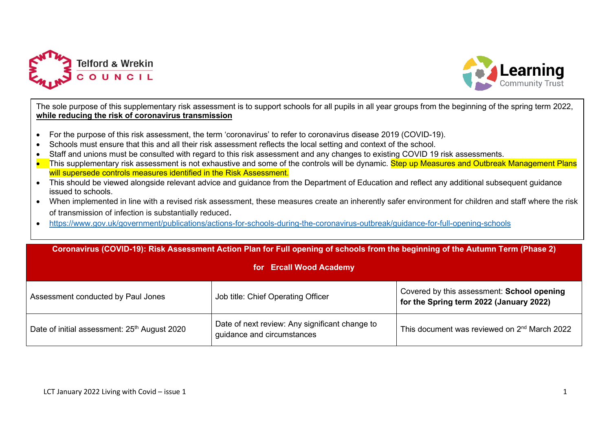



The sole purpose of this supplementary risk assessment is to support schools for all pupils in all year groups from the beginning of the spring term 2022, **while reducing the risk of coronavirus transmission**

- For the purpose of this risk assessment, the term 'coronavirus' to refer to coronavirus disease 2019 (COVID-19).
- Schools must ensure that this and all their risk assessment reflects the local setting and context of the school.
- Staff and unions must be consulted with regard to this risk assessment and any changes to existing COVID 19 risk assessments.
- This supplementary risk assessment is not exhaustive and some of the controls will be dynamic. Step up Measures and Outbreak Management Plans will supersede controls measures identified in the Risk Assessment.
- This should be viewed alongside relevant advice and guidance from the Department of Education and reflect any additional subsequent guidance issued to schools.
- When implemented in line with a revised risk assessment, these measures create an inherently safer environment for children and staff where the risk of transmission of infection is substantially reduced.
- <https://www.gov.uk/government/publications/actions-for-schools-during-the-coronavirus-outbreak/guidance-for-full-opening-schools>

| Coronavirus (COVID-19): Risk Assessment Action Plan for Full opening of schools from the beginning of the Autumn Term (Phase 2)<br>for Ercall Wood Academy |                                                                              |                                                                                       |  |  |  |  |  |  |
|------------------------------------------------------------------------------------------------------------------------------------------------------------|------------------------------------------------------------------------------|---------------------------------------------------------------------------------------|--|--|--|--|--|--|
| Assessment conducted by Paul Jones                                                                                                                         | Job title: Chief Operating Officer                                           | Covered by this assessment: School opening<br>for the Spring term 2022 (January 2022) |  |  |  |  |  |  |
| Date of initial assessment: 25 <sup>th</sup> August 2020                                                                                                   | Date of next review: Any significant change to<br>guidance and circumstances | This document was reviewed on 2 <sup>nd</sup> March 2022                              |  |  |  |  |  |  |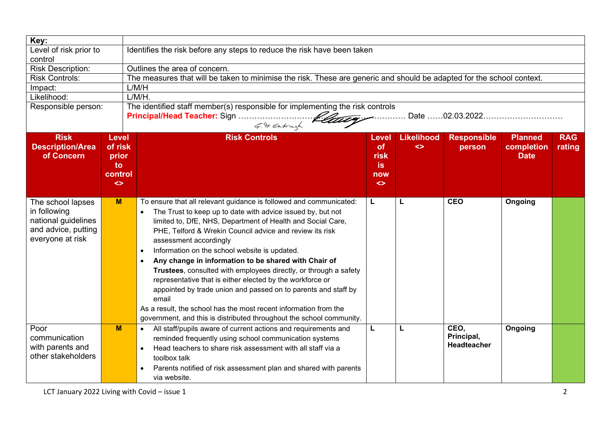| Key:                                                                                                |                                                                                    |                                                                                                                                                                                                                                                                                                                                                                                                                                                                                                                                                                                                                                                                                                                                                                                   |                                                                     |                             |                                          |                                             |                      |  |  |  |
|-----------------------------------------------------------------------------------------------------|------------------------------------------------------------------------------------|-----------------------------------------------------------------------------------------------------------------------------------------------------------------------------------------------------------------------------------------------------------------------------------------------------------------------------------------------------------------------------------------------------------------------------------------------------------------------------------------------------------------------------------------------------------------------------------------------------------------------------------------------------------------------------------------------------------------------------------------------------------------------------------|---------------------------------------------------------------------|-----------------------------|------------------------------------------|---------------------------------------------|----------------------|--|--|--|
| Level of risk prior to<br>control                                                                   |                                                                                    | Identifies the risk before any steps to reduce the risk have been taken                                                                                                                                                                                                                                                                                                                                                                                                                                                                                                                                                                                                                                                                                                           |                                                                     |                             |                                          |                                             |                      |  |  |  |
| <b>Risk Description:</b>                                                                            |                                                                                    | Outlines the area of concern.                                                                                                                                                                                                                                                                                                                                                                                                                                                                                                                                                                                                                                                                                                                                                     |                                                                     |                             |                                          |                                             |                      |  |  |  |
| <b>Risk Controls:</b>                                                                               |                                                                                    | The measures that will be taken to minimise the risk. These are generic and should be adapted for the school context.                                                                                                                                                                                                                                                                                                                                                                                                                                                                                                                                                                                                                                                             |                                                                     |                             |                                          |                                             |                      |  |  |  |
| Impact:                                                                                             |                                                                                    | L/M/H                                                                                                                                                                                                                                                                                                                                                                                                                                                                                                                                                                                                                                                                                                                                                                             |                                                                     |                             |                                          |                                             |                      |  |  |  |
| Likelihood:                                                                                         |                                                                                    | $L/M/H$ .                                                                                                                                                                                                                                                                                                                                                                                                                                                                                                                                                                                                                                                                                                                                                                         |                                                                     |                             |                                          |                                             |                      |  |  |  |
| Responsible person:                                                                                 |                                                                                    | The identified staff member(s) responsible for implementing the risk controls<br>G. F. Eatough                                                                                                                                                                                                                                                                                                                                                                                                                                                                                                                                                                                                                                                                                    |                                                                     |                             |                                          |                                             |                      |  |  |  |
| <b>Risk</b><br><b>Description/Area</b><br>of Concern                                                | <b>Level</b><br>of risk<br>prior<br>to:<br>control<br>$\left\langle \right\rangle$ | <b>Risk Controls</b>                                                                                                                                                                                                                                                                                                                                                                                                                                                                                                                                                                                                                                                                                                                                                              | Level<br><b>of</b><br>risk<br><b>is</b><br>now<br>$\leftrightarrow$ | <b>Likelihood</b><br>$\leq$ | <b>Responsible</b><br>person             | <b>Planned</b><br>completion<br><b>Date</b> | <b>RAG</b><br>rating |  |  |  |
| The school lapses<br>in following<br>national guidelines<br>and advice, putting<br>everyone at risk | M                                                                                  | To ensure that all relevant guidance is followed and communicated:<br>The Trust to keep up to date with advice issued by, but not<br>limited to, DfE, NHS, Department of Health and Social Care,<br>PHE, Telford & Wrekin Council advice and review its risk<br>assessment accordingly<br>Information on the school website is updated.<br>$\bullet$<br>Any change in information to be shared with Chair of<br>$\bullet$<br>Trustees, consulted with employees directly, or through a safety<br>representative that is either elected by the workforce or<br>appointed by trade union and passed on to parents and staff by<br>email<br>As a result, the school has the most recent information from the<br>government, and this is distributed throughout the school community. | L                                                                   | L                           | <b>CEO</b>                               | Ongoing                                     |                      |  |  |  |
| Poor<br>communication<br>with parents and<br>other stakeholders                                     | M                                                                                  | All staff/pupils aware of current actions and requirements and<br>$\bullet$<br>reminded frequently using school communication systems<br>Head teachers to share risk assessment with all staff via a<br>toolbox talk<br>Parents notified of risk assessment plan and shared with parents<br>via website.                                                                                                                                                                                                                                                                                                                                                                                                                                                                          | L                                                                   | L                           | CEO,<br>Principal,<br><b>Headteacher</b> | Ongoing                                     |                      |  |  |  |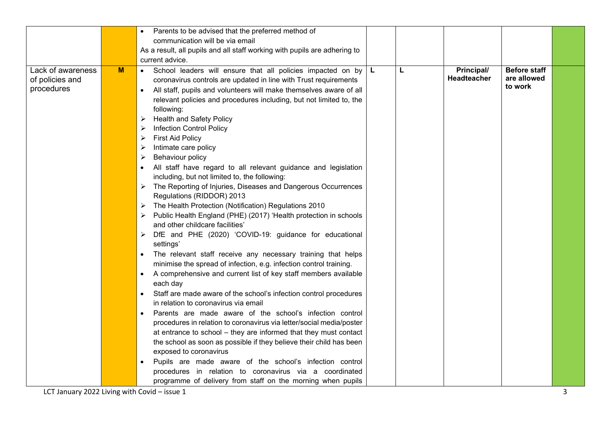|                                                    |   | Parents to be advised that the preferred method of                                                                                                                                                                                                                                                                                                                                                                                                                                                                                                                                                                                                                                                                                                                                                                                                                                                                                                                                                                                                                                                                                                                                                                                                                                                                                                                                                                                                                                                                                                                                                                                                                                                                                                                                                                        |    |   |                           |                                               |  |
|----------------------------------------------------|---|---------------------------------------------------------------------------------------------------------------------------------------------------------------------------------------------------------------------------------------------------------------------------------------------------------------------------------------------------------------------------------------------------------------------------------------------------------------------------------------------------------------------------------------------------------------------------------------------------------------------------------------------------------------------------------------------------------------------------------------------------------------------------------------------------------------------------------------------------------------------------------------------------------------------------------------------------------------------------------------------------------------------------------------------------------------------------------------------------------------------------------------------------------------------------------------------------------------------------------------------------------------------------------------------------------------------------------------------------------------------------------------------------------------------------------------------------------------------------------------------------------------------------------------------------------------------------------------------------------------------------------------------------------------------------------------------------------------------------------------------------------------------------------------------------------------------------|----|---|---------------------------|-----------------------------------------------|--|
|                                                    |   | communication will be via email                                                                                                                                                                                                                                                                                                                                                                                                                                                                                                                                                                                                                                                                                                                                                                                                                                                                                                                                                                                                                                                                                                                                                                                                                                                                                                                                                                                                                                                                                                                                                                                                                                                                                                                                                                                           |    |   |                           |                                               |  |
|                                                    |   | As a result, all pupils and all staff working with pupils are adhering to                                                                                                                                                                                                                                                                                                                                                                                                                                                                                                                                                                                                                                                                                                                                                                                                                                                                                                                                                                                                                                                                                                                                                                                                                                                                                                                                                                                                                                                                                                                                                                                                                                                                                                                                                 |    |   |                           |                                               |  |
|                                                    |   | current advice.                                                                                                                                                                                                                                                                                                                                                                                                                                                                                                                                                                                                                                                                                                                                                                                                                                                                                                                                                                                                                                                                                                                                                                                                                                                                                                                                                                                                                                                                                                                                                                                                                                                                                                                                                                                                           |    |   |                           |                                               |  |
| Lack of awareness<br>of policies and<br>procedures | M | School leaders will ensure that all policies impacted on by<br>$\bullet$<br>coronavirus controls are updated in line with Trust requirements<br>All staff, pupils and volunteers will make themselves aware of all<br>$\bullet$<br>relevant policies and procedures including, but not limited to, the<br>following:<br><b>Health and Safety Policy</b><br><b>Infection Control Policy</b><br><b>First Aid Policy</b><br>➤<br>Intimate care policy<br>➤<br>Behaviour policy<br>➤<br>All staff have regard to all relevant guidance and legislation<br>$\bullet$<br>including, but not limited to, the following:<br>The Reporting of Injuries, Diseases and Dangerous Occurrences<br>Regulations (RIDDOR) 2013<br>The Health Protection (Notification) Regulations 2010<br>➤<br>Public Health England (PHE) (2017) 'Health protection in schools<br>and other childcare facilities'<br>DfE and PHE (2020) 'COVID-19: guidance for educational<br>➤<br>settings'<br>The relevant staff receive any necessary training that helps<br>$\bullet$<br>minimise the spread of infection, e.g. infection control training.<br>A comprehensive and current list of key staff members available<br>$\bullet$<br>each day<br>Staff are made aware of the school's infection control procedures<br>in relation to coronavirus via email<br>Parents are made aware of the school's infection control<br>procedures in relation to coronavirus via letter/social media/poster<br>at entrance to school - they are informed that they must contact<br>the school as soon as possible if they believe their child has been<br>exposed to coronavirus<br>Pupils are made aware of the school's infection control<br>procedures in relation to coronavirus via a coordinated<br>programme of delivery from staff on the morning when pupils | L. | Г | Principal/<br>Headteacher | <b>Before staff</b><br>are allowed<br>to work |  |
|                                                    |   |                                                                                                                                                                                                                                                                                                                                                                                                                                                                                                                                                                                                                                                                                                                                                                                                                                                                                                                                                                                                                                                                                                                                                                                                                                                                                                                                                                                                                                                                                                                                                                                                                                                                                                                                                                                                                           |    |   |                           |                                               |  |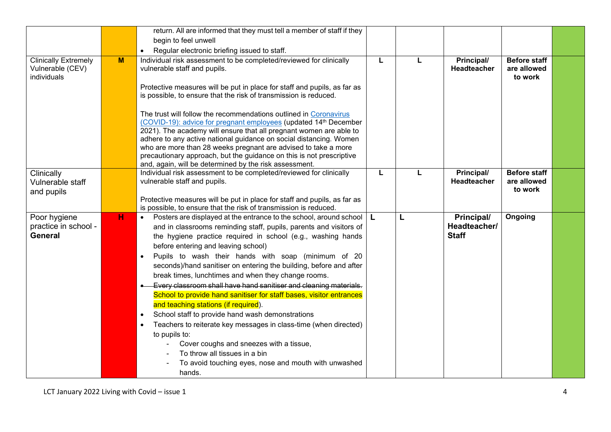|                                                                |   | return. All are informed that they must tell a member of staff if they                                                                                                                                                                                                                                                                                                                                                                                                                                                                                                                                                                                                                                                                                                                                                                                                                                                                                |   |   |                                            |                                               |  |
|----------------------------------------------------------------|---|-------------------------------------------------------------------------------------------------------------------------------------------------------------------------------------------------------------------------------------------------------------------------------------------------------------------------------------------------------------------------------------------------------------------------------------------------------------------------------------------------------------------------------------------------------------------------------------------------------------------------------------------------------------------------------------------------------------------------------------------------------------------------------------------------------------------------------------------------------------------------------------------------------------------------------------------------------|---|---|--------------------------------------------|-----------------------------------------------|--|
|                                                                |   | begin to feel unwell                                                                                                                                                                                                                                                                                                                                                                                                                                                                                                                                                                                                                                                                                                                                                                                                                                                                                                                                  |   |   |                                            |                                               |  |
|                                                                |   | Regular electronic briefing issued to staff.<br>$\bullet$                                                                                                                                                                                                                                                                                                                                                                                                                                                                                                                                                                                                                                                                                                                                                                                                                                                                                             |   |   |                                            |                                               |  |
| <b>Clinically Extremely</b><br>Vulnerable (CEV)<br>individuals | M | Individual risk assessment to be completed/reviewed for clinically<br>vulnerable staff and pupils.<br>Protective measures will be put in place for staff and pupils, as far as<br>is possible, to ensure that the risk of transmission is reduced.<br>The trust will follow the recommendations outlined in Coronavirus<br>(COVID-19): advice for pregnant employees (updated 14 <sup>th</sup> December<br>2021). The academy will ensure that all pregnant women are able to<br>adhere to any active national guidance on social distancing. Women<br>who are more than 28 weeks pregnant are advised to take a more<br>precautionary approach, but the guidance on this is not prescriptive<br>and, again, will be determined by the risk assessment.                                                                                                                                                                                               | L | L | Principal/<br><b>Headteacher</b>           | <b>Before staff</b><br>are allowed<br>to work |  |
| Clinically<br>Vulnerable staff<br>and pupils                   |   | Individual risk assessment to be completed/reviewed for clinically<br>vulnerable staff and pupils.<br>Protective measures will be put in place for staff and pupils, as far as<br>is possible, to ensure that the risk of transmission is reduced.                                                                                                                                                                                                                                                                                                                                                                                                                                                                                                                                                                                                                                                                                                    | L | L | Principal/<br><b>Headteacher</b>           | <b>Before staff</b><br>are allowed<br>to work |  |
| Poor hygiene<br>practice in school -<br><b>General</b>         | н | Posters are displayed at the entrance to the school, around school<br>$\bullet$<br>and in classrooms reminding staff, pupils, parents and visitors of<br>the hygiene practice required in school (e.g., washing hands<br>before entering and leaving school)<br>Pupils to wash their hands with soap (minimum of 20<br>seconds)/hand sanitiser on entering the building, before and after<br>break times, lunchtimes and when they change rooms.<br>Every classroom shall have hand sanitiser and cleaning materials.<br>School to provide hand sanitiser for staff bases, visitor entrances<br>and teaching stations (if required).<br>School staff to provide hand wash demonstrations<br>$\bullet$<br>Teachers to reiterate key messages in class-time (when directed)<br>$\bullet$<br>to pupils to:<br>Cover coughs and sneezes with a tissue,<br>To throw all tissues in a bin<br>To avoid touching eyes, nose and mouth with unwashed<br>hands. | L | L | Principal/<br>Headteacher/<br><b>Staff</b> | Ongoing                                       |  |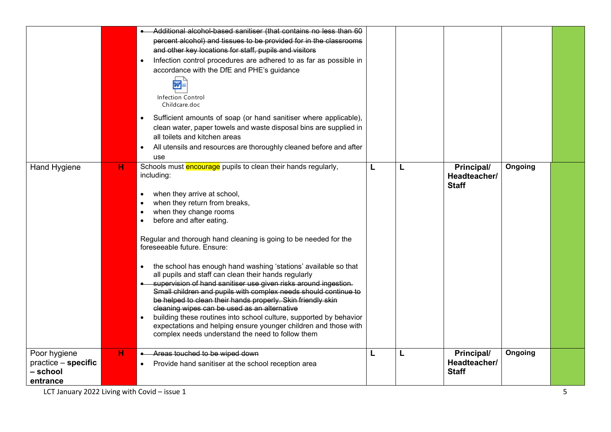|                                                             |   | Additional alcohol-based sanitiser (that contains no less than 60<br>percent alcohol) and tissues to be provided for in the classrooms<br>and other key locations for staff, pupils and visitors<br>Infection control procedures are adhered to as far as possible in<br>accordance with the DfE and PHE's guidance<br>匢<br>Infection Control<br>Childcare.doc<br>Sufficient amounts of soap (or hand sanitiser where applicable),<br>clean water, paper towels and waste disposal bins are supplied in<br>all toilets and kitchen areas<br>All utensils and resources are thoroughly cleaned before and after<br>use                                                                                                                                                                                                                                                             |   |   |                                            |         |  |
|-------------------------------------------------------------|---|-----------------------------------------------------------------------------------------------------------------------------------------------------------------------------------------------------------------------------------------------------------------------------------------------------------------------------------------------------------------------------------------------------------------------------------------------------------------------------------------------------------------------------------------------------------------------------------------------------------------------------------------------------------------------------------------------------------------------------------------------------------------------------------------------------------------------------------------------------------------------------------|---|---|--------------------------------------------|---------|--|
| Hand Hygiene                                                | н | Schools must encourage pupils to clean their hands regularly,<br>including:<br>when they arrive at school,<br>when they return from breaks,<br>when they change rooms<br>before and after eating.<br>Regular and thorough hand cleaning is going to be needed for the<br>foreseeable future. Ensure:<br>the school has enough hand washing 'stations' available so that<br>all pupils and staff can clean their hands regularly<br>supervision of hand sanitiser use given risks around ingestion.<br>Small children and pupils with complex needs should continue to<br>be helped to clean their hands properly. Skin friendly skin<br>cleaning wipes can be used as an alternative<br>building these routines into school culture, supported by behavior<br>expectations and helping ensure younger children and those with<br>complex needs understand the need to follow them | L | L | Principal/<br>Headteacher/<br><b>Staff</b> | Ongoing |  |
| Poor hygiene<br>practice – specific<br>- school<br>entrance | н | Areas touched to be wiped down<br>Provide hand sanitiser at the school reception area                                                                                                                                                                                                                                                                                                                                                                                                                                                                                                                                                                                                                                                                                                                                                                                             | L | L | Principal/<br>Headteacher/<br><b>Staff</b> | Ongoing |  |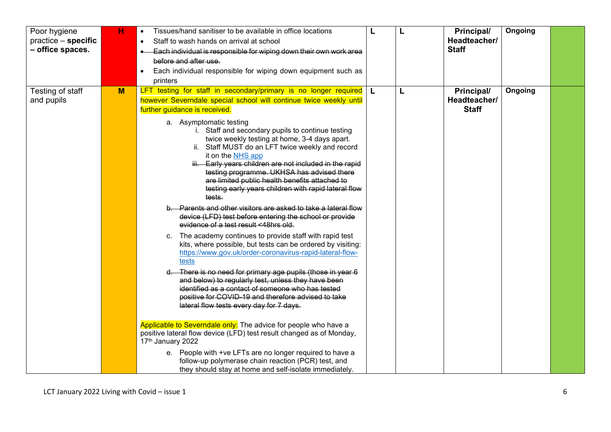| Poor hygiene<br>practice - specific<br>- office spaces. | н | Tissues/hand sanitiser to be available in office locations<br>$\bullet$<br>Staff to wash hands on arrival at school<br>$\bullet$<br>Each individual is responsible for wiping down their own work area<br>$\bullet$<br>before and after use.<br>Each individual responsible for wiping down equipment such as<br>$\bullet$<br>printers                                                                                                                                                                                                                                                                                                                                                                                                                                                                                                                                                                                                                                                                                                                                                                                                                                                                                                                                                                                                                                                                                                                                                                                                                                                                            | L | L | Principal/<br>Headteacher/<br><b>Staff</b> | Ongoing |  |
|---------------------------------------------------------|---|-------------------------------------------------------------------------------------------------------------------------------------------------------------------------------------------------------------------------------------------------------------------------------------------------------------------------------------------------------------------------------------------------------------------------------------------------------------------------------------------------------------------------------------------------------------------------------------------------------------------------------------------------------------------------------------------------------------------------------------------------------------------------------------------------------------------------------------------------------------------------------------------------------------------------------------------------------------------------------------------------------------------------------------------------------------------------------------------------------------------------------------------------------------------------------------------------------------------------------------------------------------------------------------------------------------------------------------------------------------------------------------------------------------------------------------------------------------------------------------------------------------------------------------------------------------------------------------------------------------------|---|---|--------------------------------------------|---------|--|
| Testing of staff<br>and pupils                          | M | LFT testing for staff in secondary/primary is no longer required   L<br>however Severndale special school will continue twice weekly until<br>further guidance is received.<br>a. Asymptomatic testing<br>i. Staff and secondary pupils to continue testing<br>twice weekly testing at home, 3-4 days apart.<br>ii. Staff MUST do an LFT twice weekly and record<br>it on the NHS app<br>iii. Early years children are not included in the rapid<br>testing programme. UKHSA has advised there<br>are limited public health benefits attached to<br>testing early years children with rapid lateral flow<br>tests.<br>Parents and other visitors are asked to take a lateral flow<br>device (LFD) test before entering the school or provide<br>evidence of a test result <48hrs old.<br>The academy continues to provide staff with rapid test<br>C.<br>kits, where possible, but tests can be ordered by visiting:<br>https://www.gov.uk/order-coronavirus-rapid-lateral-flow-<br>tests<br>There is no need for primary age pupils (those in year 6<br>and below) to regularly test, unless they have been<br>identified as a contact of someone who has tested<br>positive for COVID-19 and therefore advised to take<br>lateral flow tests every day for 7 days.<br>Applicable to Severndale only: The advice for people who have a<br>positive lateral flow device (LFD) test result changed as of Monday,<br>17th January 2022<br>e. People with +ve LFTs are no longer required to have a<br>follow-up polymerase chain reaction (PCR) test, and<br>they should stay at home and self-isolate immediately. |   | L | Principal/<br>Headteacher/<br><b>Staff</b> | Ongoing |  |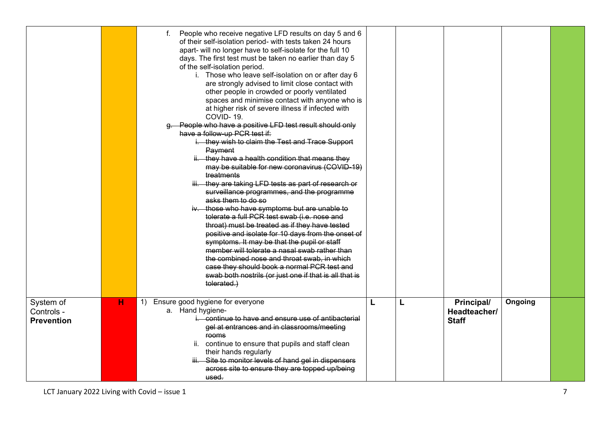|                                              |   | People who receive negative LFD results on day 5 and 6<br>f.<br>of their self-isolation period- with tests taken 24 hours<br>apart- will no longer have to self-isolate for the full 10<br>days. The first test must be taken no earlier than day 5<br>of the self-isolation period.<br>i. Those who leave self-isolation on or after day 6<br>are strongly advised to limit close contact with<br>other people in crowded or poorly ventilated<br>spaces and minimise contact with anyone who is<br>at higher risk of severe illness if infected with<br>COVID-19.<br>g. People who have a positive LFD test result should only<br>have a follow-up PCR test if:<br>i. they wish to claim the Test and Trace Support<br>Payment<br>ii. they have a health condition that means they<br>may be suitable for new coronavirus (COVID-19)<br>treatments<br>iii. they are taking LFD tests as part of research or<br>surveillance programmes, and the programme<br>asks them to do so<br>iv. those who have symptoms but are unable to<br>tolerate a full PCR test swab (i.e. nose and<br>throat) must be treated as if they have tested<br>positive and isolate for 10 days from the onset of<br>symptoms. It may be that the pupil or staff<br>member will tolerate a nasal swab rather than<br>the combined nose and throat swab, in which<br>case they should book a normal PCR test and<br>swab both nostrils (or just one if that is all that is<br>tolerated.) |   |   |                                            |         |  |
|----------------------------------------------|---|-------------------------------------------------------------------------------------------------------------------------------------------------------------------------------------------------------------------------------------------------------------------------------------------------------------------------------------------------------------------------------------------------------------------------------------------------------------------------------------------------------------------------------------------------------------------------------------------------------------------------------------------------------------------------------------------------------------------------------------------------------------------------------------------------------------------------------------------------------------------------------------------------------------------------------------------------------------------------------------------------------------------------------------------------------------------------------------------------------------------------------------------------------------------------------------------------------------------------------------------------------------------------------------------------------------------------------------------------------------------------------------------------------------------------------------------------------------------|---|---|--------------------------------------------|---------|--|
| System of<br>Controls -<br><b>Prevention</b> | н | Ensure good hygiene for everyone<br>1)<br>a. Hand hygiene-<br>i. continue to have and ensure use of antibacterial<br>gel at entrances and in classrooms/meeting<br><b>rooms</b><br>ii. continue to ensure that pupils and staff clean<br>their hands regularly<br>iii. Site to monitor levels of hand gel in dispensers<br>across site to ensure they are topped up/being<br>used.                                                                                                                                                                                                                                                                                                                                                                                                                                                                                                                                                                                                                                                                                                                                                                                                                                                                                                                                                                                                                                                                                | L | L | Principal/<br>Headteacher/<br><b>Staff</b> | Ongoing |  |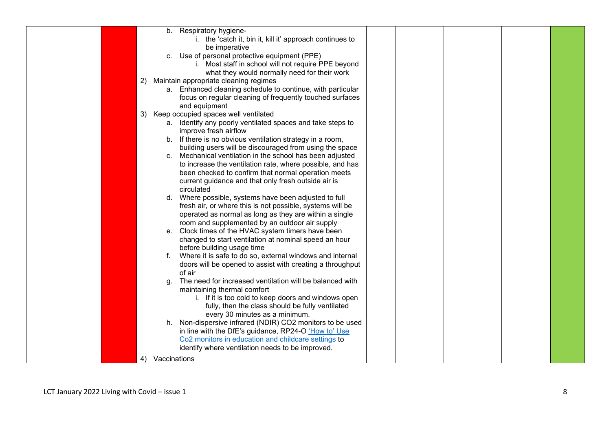|  |    |                 | b. Respiratory hygiene-                                    |  |  |  |
|--|----|-----------------|------------------------------------------------------------|--|--|--|
|  |    |                 | i. the 'catch it, bin it, kill it' approach continues to   |  |  |  |
|  |    |                 | be imperative                                              |  |  |  |
|  |    |                 | c. Use of personal protective equipment (PPE)              |  |  |  |
|  |    |                 | i. Most staff in school will not require PPE beyond        |  |  |  |
|  |    |                 | what they would normally need for their work               |  |  |  |
|  | 2) |                 | Maintain appropriate cleaning regimes                      |  |  |  |
|  |    |                 | a. Enhanced cleaning schedule to continue, with particular |  |  |  |
|  |    |                 | focus on regular cleaning of frequently touched surfaces   |  |  |  |
|  |    |                 | and equipment                                              |  |  |  |
|  | 3) |                 | Keep occupied spaces well ventilated                       |  |  |  |
|  |    |                 | a. Identify any poorly ventilated spaces and take steps to |  |  |  |
|  |    |                 | improve fresh airflow                                      |  |  |  |
|  |    |                 | b. If there is no obvious ventilation strategy in a room,  |  |  |  |
|  |    |                 | building users will be discouraged from using the space    |  |  |  |
|  |    |                 | c. Mechanical ventilation in the school has been adjusted  |  |  |  |
|  |    |                 | to increase the ventilation rate, where possible, and has  |  |  |  |
|  |    |                 | been checked to confirm that normal operation meets        |  |  |  |
|  |    |                 | current guidance and that only fresh outside air is        |  |  |  |
|  |    |                 | circulated                                                 |  |  |  |
|  |    |                 | d. Where possible, systems have been adjusted to full      |  |  |  |
|  |    |                 | fresh air, or where this is not possible, systems will be  |  |  |  |
|  |    |                 | operated as normal as long as they are within a single     |  |  |  |
|  |    |                 | room and supplemented by an outdoor air supply             |  |  |  |
|  |    |                 | e. Clock times of the HVAC system timers have been         |  |  |  |
|  |    |                 | changed to start ventilation at nominal speed an hour      |  |  |  |
|  |    |                 | before building usage time                                 |  |  |  |
|  |    | f.              | Where it is safe to do so, external windows and internal   |  |  |  |
|  |    |                 | doors will be opened to assist with creating a throughput  |  |  |  |
|  |    |                 | of air                                                     |  |  |  |
|  |    | q.              | The need for increased ventilation will be balanced with   |  |  |  |
|  |    |                 | maintaining thermal comfort                                |  |  |  |
|  |    |                 | i. If it is too cold to keep doors and windows open        |  |  |  |
|  |    |                 | fully, then the class should be fully ventilated           |  |  |  |
|  |    |                 | every 30 minutes as a minimum.                             |  |  |  |
|  |    |                 | h. Non-dispersive infrared (NDIR) CO2 monitors to be used  |  |  |  |
|  |    |                 | in line with the DfE's guidance, RP24-O 'How to' Use       |  |  |  |
|  |    |                 | Co2 monitors in education and childcare settings to        |  |  |  |
|  |    |                 | identify where ventilation needs to be improved.           |  |  |  |
|  |    | 4) Vaccinations |                                                            |  |  |  |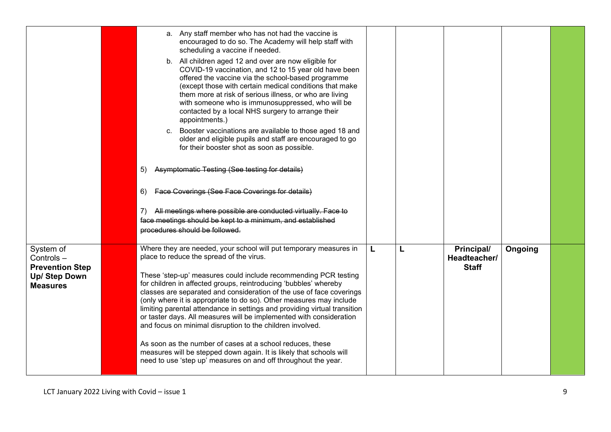|                                                                                      | a. Any staff member who has not had the vaccine is<br>encouraged to do so. The Academy will help staff with<br>scheduling a vaccine if needed.<br>b. All children aged 12 and over are now eligible for<br>COVID-19 vaccination, and 12 to 15 year old have been<br>offered the vaccine via the school-based programme<br>(except those with certain medical conditions that make<br>them more at risk of serious illness, or who are living<br>with someone who is immunosuppressed, who will be<br>contacted by a local NHS surgery to arrange their<br>appointments.)<br>c. Booster vaccinations are available to those aged 18 and<br>older and eligible pupils and staff are encouraged to go<br>for their booster shot as soon as possible.<br>Asymptomatic Testing (See testing for details)<br>5)<br>Face Coverings (See Face Coverings for details)<br>6)<br>All meetings where possible are conducted virtually. Face to<br>7).<br>face meetings should be kept to a minimum, and established<br>procedures should be followed. |   |   |                                            |         |  |
|--------------------------------------------------------------------------------------|-------------------------------------------------------------------------------------------------------------------------------------------------------------------------------------------------------------------------------------------------------------------------------------------------------------------------------------------------------------------------------------------------------------------------------------------------------------------------------------------------------------------------------------------------------------------------------------------------------------------------------------------------------------------------------------------------------------------------------------------------------------------------------------------------------------------------------------------------------------------------------------------------------------------------------------------------------------------------------------------------------------------------------------------|---|---|--------------------------------------------|---------|--|
| System of<br>Controls-<br><b>Prevention Step</b><br>Up/ Step Down<br><b>Measures</b> | Where they are needed, your school will put temporary measures in<br>place to reduce the spread of the virus.<br>These 'step-up' measures could include recommending PCR testing<br>for children in affected groups, reintroducing 'bubbles' whereby<br>classes are separated and consideration of the use of face coverings<br>(only where it is appropriate to do so). Other measures may include<br>limiting parental attendance in settings and providing virtual transition<br>or taster days. All measures will be implemented with consideration<br>and focus on minimal disruption to the children involved.<br>As soon as the number of cases at a school reduces, these<br>measures will be stepped down again. It is likely that schools will<br>need to use 'step up' measures on and off throughout the year.                                                                                                                                                                                                                | L | L | Principal/<br>Headteacher/<br><b>Staff</b> | Ongoing |  |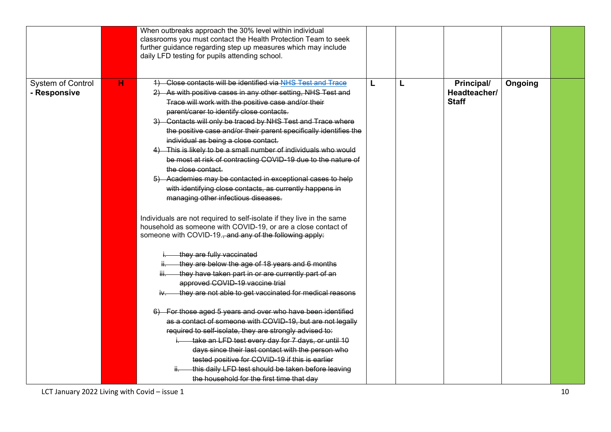|                                                       | When outbreaks approach the 30% level within individual<br>classrooms you must contact the Health Protection Team to seek<br>further guidance regarding step up measures which may include<br>daily LFD testing for pupils attending school.                                                                                                                                                                                                                                                                                                                                                                                                                                                                                                                                                                                                                                                                                                                                                                                                                                                                                                                                                                                                                                                                                                                                                                                                                                                                                                                                                                                            |   |   |                                            |         |  |
|-------------------------------------------------------|-----------------------------------------------------------------------------------------------------------------------------------------------------------------------------------------------------------------------------------------------------------------------------------------------------------------------------------------------------------------------------------------------------------------------------------------------------------------------------------------------------------------------------------------------------------------------------------------------------------------------------------------------------------------------------------------------------------------------------------------------------------------------------------------------------------------------------------------------------------------------------------------------------------------------------------------------------------------------------------------------------------------------------------------------------------------------------------------------------------------------------------------------------------------------------------------------------------------------------------------------------------------------------------------------------------------------------------------------------------------------------------------------------------------------------------------------------------------------------------------------------------------------------------------------------------------------------------------------------------------------------------------|---|---|--------------------------------------------|---------|--|
| System of Control<br>н<br>- Responsive<br>iii—<br>iv. | 4) Close contacts will be identified via NHS Test and Trace<br>2) As with positive cases in any other setting, NHS Test and<br>Trace will work with the positive case and/or their<br>parent/carer to identify close contacts.<br>3) Contacts will only be traced by NHS Test and Trace where<br>the positive case and/or their parent specifically identifies the<br>individual as being a close contact.<br>4) This is likely to be a small number of individuals who would<br>be most at risk of contracting COVID-19 due to the nature of<br>the close contact.<br>5) Academies may be contacted in exceptional cases to help<br>with identifying close contacts, as currently happens in<br>managing other infectious diseases.<br>Individuals are not required to self-isolate if they live in the same<br>household as someone with COVID-19, or are a close contact of<br>someone with COVID-19., and any of the following apply:<br>they are fully vaccinated<br>they are below the age of 18 years and 6 months<br>they have taken part in or are currently part of an<br>approved COVID-19 vaccine trial<br>they are not able to get vaccinated for medical reasons<br>6) For those aged 5 years and over who have been identified<br>as a contact of someone with COVID-19, but are not legally<br>required to self-isolate, they are strongly advised to:<br>take an LFD test every day for 7 days, or until 10<br>days since their last contact with the person who<br>tested positive for COVID-19 if this is earlier<br>this daily LFD test should be taken before leaving<br>the household for the first time that day | L | L | Principal/<br>Headteacher/<br><b>Staff</b> | Ongoing |  |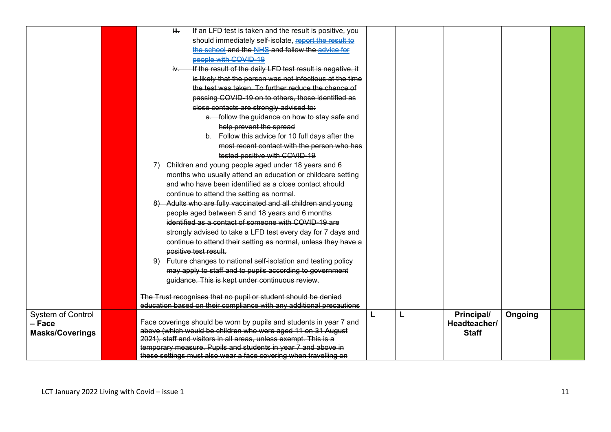|                          | iii.                                                             |                       |                      |                                                 | If an LFD test is taken and the result is positive, you                                                                               |  |              |         |  |
|--------------------------|------------------------------------------------------------------|-----------------------|----------------------|-------------------------------------------------|---------------------------------------------------------------------------------------------------------------------------------------|--|--------------|---------|--|
|                          |                                                                  |                       |                      |                                                 | should immediately self-isolate, report the result to                                                                                 |  |              |         |  |
|                          |                                                                  |                       |                      |                                                 | the school and the NHS and follow the advice for                                                                                      |  |              |         |  |
|                          |                                                                  |                       | people with COVID-19 |                                                 |                                                                                                                                       |  |              |         |  |
|                          |                                                                  |                       |                      |                                                 | If the result of the daily LFD test result is negative, it                                                                            |  |              |         |  |
|                          |                                                                  |                       |                      |                                                 | is likely that the person was not infectious at the time                                                                              |  |              |         |  |
|                          |                                                                  |                       |                      |                                                 | the test was taken. To further reduce the chance of                                                                                   |  |              |         |  |
|                          |                                                                  |                       |                      |                                                 | passing COVID-19 on to others, those identified as                                                                                    |  |              |         |  |
|                          |                                                                  |                       |                      | close contacts are strongly advised to:         |                                                                                                                                       |  |              |         |  |
|                          |                                                                  |                       |                      |                                                 | a. follow the guidance on how to stay safe and                                                                                        |  |              |         |  |
|                          |                                                                  |                       |                      | help prevent the spread                         |                                                                                                                                       |  |              |         |  |
|                          |                                                                  |                       |                      |                                                 | b. Follow this advice for 10 full days after the                                                                                      |  |              |         |  |
|                          |                                                                  |                       |                      |                                                 | most recent contact with the person who has                                                                                           |  |              |         |  |
|                          |                                                                  |                       |                      | tested positive with COVID-19                   |                                                                                                                                       |  |              |         |  |
|                          |                                                                  |                       |                      |                                                 | Children and young people aged under 18 years and 6                                                                                   |  |              |         |  |
|                          |                                                                  |                       |                      |                                                 | months who usually attend an education or childcare setting                                                                           |  |              |         |  |
|                          |                                                                  |                       |                      |                                                 | and who have been identified as a close contact should                                                                                |  |              |         |  |
|                          |                                                                  |                       |                      | continue to attend the setting as normal.       |                                                                                                                                       |  |              |         |  |
|                          |                                                                  |                       |                      |                                                 | 8) Adults who are fully vaccinated and all children and young                                                                         |  |              |         |  |
|                          |                                                                  |                       |                      | people aged between 5 and 18 years and 6 months |                                                                                                                                       |  |              |         |  |
|                          |                                                                  |                       |                      |                                                 | identified as a contact of someone with COVID-19 are                                                                                  |  |              |         |  |
|                          |                                                                  |                       |                      |                                                 | strongly advised to take a LFD test every day for 7 days and                                                                          |  |              |         |  |
|                          |                                                                  |                       |                      |                                                 | continue to attend their setting as normal, unless they have a                                                                        |  |              |         |  |
|                          |                                                                  | positive test result. |                      |                                                 |                                                                                                                                       |  |              |         |  |
|                          |                                                                  |                       |                      |                                                 | 9) Future changes to national self-isolation and testing policy                                                                       |  |              |         |  |
|                          |                                                                  |                       |                      |                                                 | may apply to staff and to pupils according to government                                                                              |  |              |         |  |
|                          |                                                                  |                       |                      | guidance. This is kept under continuous review. |                                                                                                                                       |  |              |         |  |
|                          |                                                                  |                       |                      |                                                 |                                                                                                                                       |  |              |         |  |
|                          |                                                                  |                       |                      |                                                 | The Trust recognises that no pupil or student should be denied<br>education based on their compliance with any additional precautions |  |              |         |  |
| <b>System of Control</b> |                                                                  |                       |                      |                                                 |                                                                                                                                       |  | Principal/   | Ongoing |  |
| - Face                   |                                                                  |                       |                      |                                                 | Face coverings should be worn by pupils and students in year 7 and                                                                    |  | Headteacher/ |         |  |
| <b>Masks/Coverings</b>   |                                                                  |                       |                      |                                                 | above (which would be children who were aged 11 on 31 August                                                                          |  | <b>Staff</b> |         |  |
|                          | 2021), staff and visitors in all areas, unless exempt. This is a |                       |                      |                                                 |                                                                                                                                       |  |              |         |  |
|                          |                                                                  |                       |                      |                                                 | temporary measure. Pupils and students in year 7 and above in                                                                         |  |              |         |  |
|                          |                                                                  |                       |                      |                                                 | these settings must also wear a face covering when travelling on                                                                      |  |              |         |  |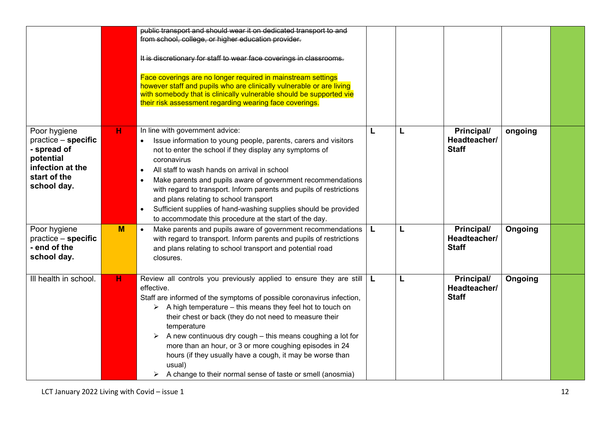|                                                                                                                    |   | public transport and should wear it on dedicated transport to and<br>from school, college, or higher education provider.<br>It is discretionary for staff to wear face coverings in classrooms.<br>Face coverings are no longer required in mainstream settings<br>however staff and pupils who are clinically vulnerable or are living<br>with somebody that is clinically vulnerable should be supported vie<br>their risk assessment regarding wearing face coverings.                                                                                                       |   |   |                                            |         |  |
|--------------------------------------------------------------------------------------------------------------------|---|---------------------------------------------------------------------------------------------------------------------------------------------------------------------------------------------------------------------------------------------------------------------------------------------------------------------------------------------------------------------------------------------------------------------------------------------------------------------------------------------------------------------------------------------------------------------------------|---|---|--------------------------------------------|---------|--|
| Poor hygiene<br>practice - specific<br>- spread of<br>potential<br>infection at the<br>start of the<br>school day. | н | In line with government advice:<br>Issue information to young people, parents, carers and visitors<br>not to enter the school if they display any symptoms of<br>coronavirus<br>All staff to wash hands on arrival in school<br>$\bullet$<br>Make parents and pupils aware of government recommendations<br>with regard to transport. Inform parents and pupils of restrictions<br>and plans relating to school transport<br>Sufficient supplies of hand-washing supplies should be provided<br>$\bullet$<br>to accommodate this procedure at the start of the day.             | L | L | Principal/<br>Headteacher/<br><b>Staff</b> | ongoing |  |
| Poor hygiene<br>$practive - specific$<br>- end of the<br>school day.                                               | M | Make parents and pupils aware of government recommendations<br>with regard to transport. Inform parents and pupils of restrictions<br>and plans relating to school transport and potential road<br>closures.                                                                                                                                                                                                                                                                                                                                                                    |   | L | Principal/<br>Headteacher/<br><b>Staff</b> | Ongoing |  |
| Ill health in school.                                                                                              | н | Review all controls you previously applied to ensure they are still<br>effective.<br>Staff are informed of the symptoms of possible coronavirus infection,<br>$\triangleright$ A high temperature – this means they feel hot to touch on<br>their chest or back (they do not need to measure their<br>temperature<br>A new continuous dry cough - this means coughing a lot for<br>more than an hour, or 3 or more coughing episodes in 24<br>hours (if they usually have a cough, it may be worse than<br>usual)<br>A change to their normal sense of taste or smell (anosmia) | ᆘ | L | Principal/<br>Headteacher/<br><b>Staff</b> | Ongoing |  |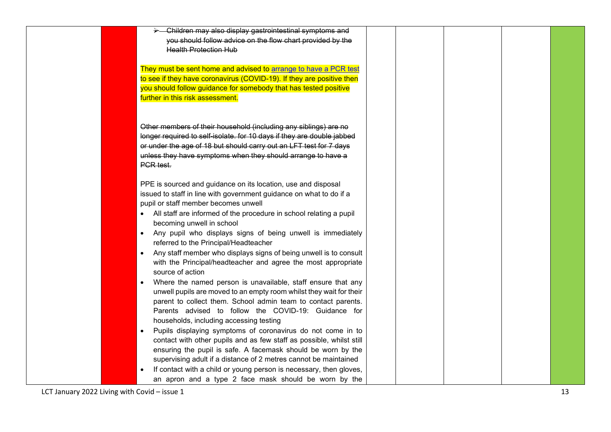|  | -Children may also display gastrointestinal symptoms and<br>$\blacktriangleright$ $-$ |  |  |  |
|--|---------------------------------------------------------------------------------------|--|--|--|
|  | you should follow advice on the flow chart provided by the                            |  |  |  |
|  | <b>Health Protection Hub</b>                                                          |  |  |  |
|  |                                                                                       |  |  |  |
|  | They must be sent home and advised to arrange to have a PCR test                      |  |  |  |
|  | to see if they have coronavirus (COVID-19). If they are positive then                 |  |  |  |
|  | you should follow guidance for somebody that has tested positive                      |  |  |  |
|  | further in this risk assessment.                                                      |  |  |  |
|  |                                                                                       |  |  |  |
|  |                                                                                       |  |  |  |
|  | Other members of their household (including any siblings) are no                      |  |  |  |
|  | longer required to self-isolate. for 10 days if they are double jabbed                |  |  |  |
|  | or under the age of 18 but should carry out an LFT test for 7 days                    |  |  |  |
|  | unless they have symptoms when they should arrange to have a                          |  |  |  |
|  | PCR test.                                                                             |  |  |  |
|  |                                                                                       |  |  |  |
|  | PPE is sourced and guidance on its location, use and disposal                         |  |  |  |
|  | issued to staff in line with government guidance on what to do if a                   |  |  |  |
|  | pupil or staff member becomes unwell                                                  |  |  |  |
|  |                                                                                       |  |  |  |
|  | All staff are informed of the procedure in school relating a pupil                    |  |  |  |
|  | becoming unwell in school                                                             |  |  |  |
|  | Any pupil who displays signs of being unwell is immediately<br>$\bullet$              |  |  |  |
|  | referred to the Principal/Headteacher                                                 |  |  |  |
|  | Any staff member who displays signs of being unwell is to consult                     |  |  |  |
|  | with the Principal/headteacher and agree the most appropriate                         |  |  |  |
|  | source of action                                                                      |  |  |  |
|  | Where the named person is unavailable, staff ensure that any                          |  |  |  |
|  | unwell pupils are moved to an empty room whilst they wait for their                   |  |  |  |
|  | parent to collect them. School admin team to contact parents.                         |  |  |  |
|  | Parents advised to follow the COVID-19: Guidance for                                  |  |  |  |
|  | households, including accessing testing                                               |  |  |  |
|  | Pupils displaying symptoms of coronavirus do not come in to                           |  |  |  |
|  | contact with other pupils and as few staff as possible, whilst still                  |  |  |  |
|  | ensuring the pupil is safe. A facemask should be worn by the                          |  |  |  |
|  | supervising adult if a distance of 2 metres cannot be maintained                      |  |  |  |
|  | If contact with a child or young person is necessary, then gloves,                    |  |  |  |
|  | an apron and a type 2 face mask should be worn by the                                 |  |  |  |
|  |                                                                                       |  |  |  |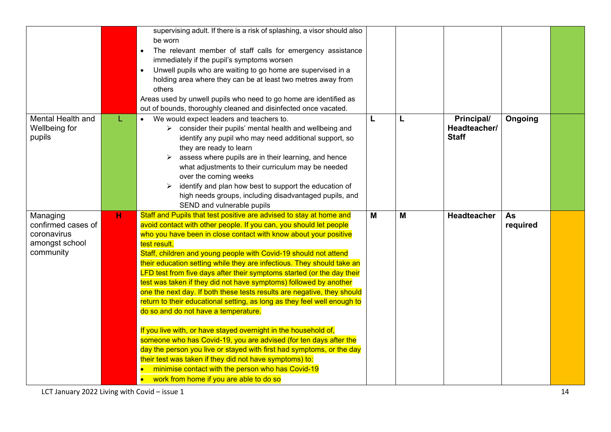|                                                                              |   | supervising adult. If there is a risk of splashing, a visor should also<br>be worn<br>The relevant member of staff calls for emergency assistance<br>$\bullet$<br>immediately if the pupil's symptoms worsen<br>Unwell pupils who are waiting to go home are supervised in a<br>$\bullet$<br>holding area where they can be at least two metres away from<br>others<br>Areas used by unwell pupils who need to go home are identified as<br>out of bounds, thoroughly cleaned and disinfected once vacated.                                                                                                                                                                                                                                                                                                                                                                                                                                                                                                                                                                                           |   |   |                                            |                       |  |
|------------------------------------------------------------------------------|---|-------------------------------------------------------------------------------------------------------------------------------------------------------------------------------------------------------------------------------------------------------------------------------------------------------------------------------------------------------------------------------------------------------------------------------------------------------------------------------------------------------------------------------------------------------------------------------------------------------------------------------------------------------------------------------------------------------------------------------------------------------------------------------------------------------------------------------------------------------------------------------------------------------------------------------------------------------------------------------------------------------------------------------------------------------------------------------------------------------|---|---|--------------------------------------------|-----------------------|--|
| Mental Health and<br>Wellbeing for<br>pupils                                 | L | We would expect leaders and teachers to.<br>$\triangleright$ consider their pupils' mental health and wellbeing and<br>identify any pupil who may need additional support, so<br>they are ready to learn<br>assess where pupils are in their learning, and hence<br>➤<br>what adjustments to their curriculum may be needed<br>over the coming weeks<br>identify and plan how best to support the education of<br>high needs groups, including disadvantaged pupils, and<br>SEND and vulnerable pupils                                                                                                                                                                                                                                                                                                                                                                                                                                                                                                                                                                                                | L | L | Principal/<br>Headteacher/<br><b>Staff</b> | Ongoing               |  |
| Managing<br>confirmed cases of<br>coronavirus<br>amongst school<br>community | н | Staff and Pupils that test positive are advised to stay at home and<br>avoid contact with other people. If you can, you should let people<br>who you have been in close contact with know about your positive<br>test result.<br>Staff, children and young people with Covid-19 should not attend<br>their education setting while they are infectious. They should take an<br>LFD test from five days after their symptoms started (or the day their<br>test was taken if they did not have symptoms) followed by another<br>one the next day. If both these tests results are negative, they should<br>return to their educational setting, as long as they feel well enough to<br>do so and do not have a temperature.<br>If you live with, or have stayed overnight in the household of,<br>someone who has Covid-19, you are advised (for ten days after the<br>day the person you live or stayed with first had symptoms, or the day<br>their test was taken if they did not have symptoms) to:<br>minimise contact with the person who has Covid-19<br>work from home if you are able to do so | M | M | <b>Headteacher</b>                         | <b>As</b><br>required |  |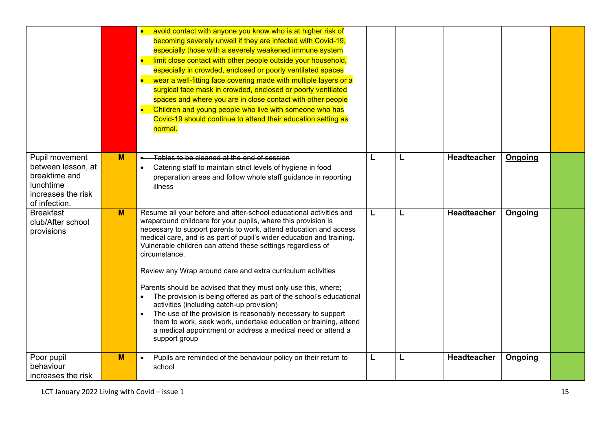|                                                                                                           |   | $\bullet$<br>avoid contact with anyone you know who is at higher risk of<br>becoming severely unwell if they are infected with Covid-19,<br>especially those with a severely weakened immune system<br>limit close contact with other people outside your household,<br>especially in crowded, enclosed or poorly ventilated spaces<br>wear a well-fitting face covering made with multiple layers or a<br>surgical face mask in crowded, enclosed or poorly ventilated<br>spaces and where you are in close contact with other people<br>$\bullet$<br>Children and young people who live with someone who has<br>Covid-19 should continue to attend their education setting as<br>normal.                                                                                                                                               |   |   |                    |                |  |
|-----------------------------------------------------------------------------------------------------------|---|------------------------------------------------------------------------------------------------------------------------------------------------------------------------------------------------------------------------------------------------------------------------------------------------------------------------------------------------------------------------------------------------------------------------------------------------------------------------------------------------------------------------------------------------------------------------------------------------------------------------------------------------------------------------------------------------------------------------------------------------------------------------------------------------------------------------------------------|---|---|--------------------|----------------|--|
| Pupil movement<br>between lesson, at<br>breaktime and<br>lunchtime<br>increases the risk<br>of infection. | M | Tables to be cleaned at the end of session<br>Catering staff to maintain strict levels of hygiene in food<br>preparation areas and follow whole staff guidance in reporting<br>illness                                                                                                                                                                                                                                                                                                                                                                                                                                                                                                                                                                                                                                                   | L | L | <b>Headteacher</b> | <b>Ongoing</b> |  |
| <b>Breakfast</b><br>club/After school<br>provisions                                                       | M | Resume all your before and after-school educational activities and<br>wraparound childcare for your pupils, where this provision is<br>necessary to support parents to work, attend education and access<br>medical care, and is as part of pupil's wider education and training.<br>Vulnerable children can attend these settings regardless of<br>circumstance.<br>Review any Wrap around care and extra curriculum activities<br>Parents should be advised that they must only use this, where;<br>The provision is being offered as part of the school's educational<br>activities (including catch-up provision)<br>The use of the provision is reasonably necessary to support<br>them to work, seek work, undertake education or training, attend<br>a medical appointment or address a medical need or attend a<br>support group | L | L | Headteacher        | Ongoing        |  |
| Poor pupil<br>behaviour<br>increases the risk                                                             | M | Pupils are reminded of the behaviour policy on their return to<br>$\bullet$<br>school                                                                                                                                                                                                                                                                                                                                                                                                                                                                                                                                                                                                                                                                                                                                                    | L | L | Headteacher        | Ongoing        |  |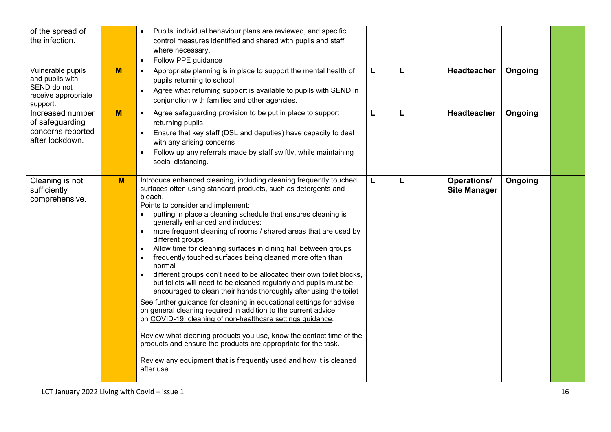| of the spread of<br>the infection.                                                     |                | Pupils' individual behaviour plans are reviewed, and specific<br>control measures identified and shared with pupils and staff<br>where necessary.<br>Follow PPE guidance<br>$\bullet$                                                                                                                                                                                                                                                                                                                                                                                                                                                                                                                                                                                                                                                                                                                                                                                                                                                                                                                                                                                                                                              |   |   |                                           |         |  |
|----------------------------------------------------------------------------------------|----------------|------------------------------------------------------------------------------------------------------------------------------------------------------------------------------------------------------------------------------------------------------------------------------------------------------------------------------------------------------------------------------------------------------------------------------------------------------------------------------------------------------------------------------------------------------------------------------------------------------------------------------------------------------------------------------------------------------------------------------------------------------------------------------------------------------------------------------------------------------------------------------------------------------------------------------------------------------------------------------------------------------------------------------------------------------------------------------------------------------------------------------------------------------------------------------------------------------------------------------------|---|---|-------------------------------------------|---------|--|
| Vulnerable pupils<br>and pupils with<br>SEND do not<br>receive appropriate<br>support. | $\overline{M}$ | Appropriate planning is in place to support the mental health of<br>$\bullet$<br>pupils returning to school<br>Agree what returning support is available to pupils with SEND in<br>$\bullet$<br>conjunction with families and other agencies.                                                                                                                                                                                                                                                                                                                                                                                                                                                                                                                                                                                                                                                                                                                                                                                                                                                                                                                                                                                      | L | L | Headteacher                               | Ongoing |  |
| Increased number<br>of safeguarding<br>concerns reported<br>after lockdown.            | M              | Agree safeguarding provision to be put in place to support<br>$\bullet$<br>returning pupils<br>Ensure that key staff (DSL and deputies) have capacity to deal<br>with any arising concerns<br>Follow up any referrals made by staff swiftly, while maintaining<br>social distancing.                                                                                                                                                                                                                                                                                                                                                                                                                                                                                                                                                                                                                                                                                                                                                                                                                                                                                                                                               | L | L | Headteacher                               | Ongoing |  |
| Cleaning is not<br>sufficiently<br>comprehensive.                                      | M              | Introduce enhanced cleaning, including cleaning frequently touched<br>surfaces often using standard products, such as detergents and<br>bleach.<br>Points to consider and implement:<br>putting in place a cleaning schedule that ensures cleaning is<br>$\bullet$<br>generally enhanced and includes:<br>more frequent cleaning of rooms / shared areas that are used by<br>$\bullet$<br>different groups<br>Allow time for cleaning surfaces in dining hall between groups<br>$\bullet$<br>frequently touched surfaces being cleaned more often than<br>$\bullet$<br>normal<br>different groups don't need to be allocated their own toilet blocks,<br>but toilets will need to be cleaned regularly and pupils must be<br>encouraged to clean their hands thoroughly after using the toilet<br>See further guidance for cleaning in educational settings for advise<br>on general cleaning required in addition to the current advice<br>on COVID-19: cleaning of non-healthcare settings guidance.<br>Review what cleaning products you use, know the contact time of the<br>products and ensure the products are appropriate for the task.<br>Review any equipment that is frequently used and how it is cleaned<br>after use | L | L | <b>Operations/</b><br><b>Site Manager</b> | Ongoing |  |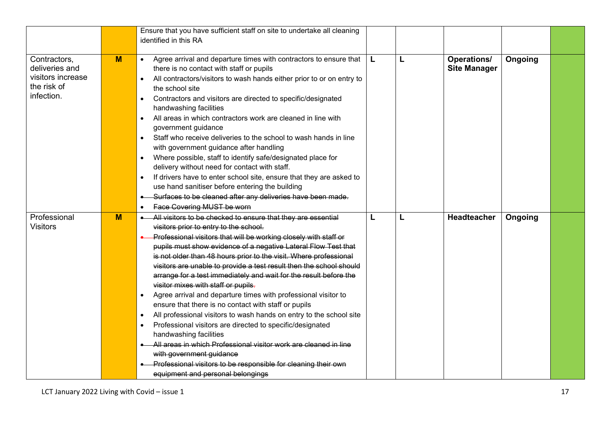|                                                                                  |   | Ensure that you have sufficient staff on site to undertake all cleaning<br>identified in this RA                                                                                                                                                                                                                                                                                                                                                                                                                                                                                                                                                                                                                                                                                                                                                                                                                                                                                                                              |   |   |                                           |         |  |
|----------------------------------------------------------------------------------|---|-------------------------------------------------------------------------------------------------------------------------------------------------------------------------------------------------------------------------------------------------------------------------------------------------------------------------------------------------------------------------------------------------------------------------------------------------------------------------------------------------------------------------------------------------------------------------------------------------------------------------------------------------------------------------------------------------------------------------------------------------------------------------------------------------------------------------------------------------------------------------------------------------------------------------------------------------------------------------------------------------------------------------------|---|---|-------------------------------------------|---------|--|
| Contractors,<br>deliveries and<br>visitors increase<br>the risk of<br>infection. | M | Agree arrival and departure times with contractors to ensure that<br>$\bullet$<br>there is no contact with staff or pupils<br>All contractors/visitors to wash hands either prior to or on entry to<br>$\bullet$<br>the school site<br>Contractors and visitors are directed to specific/designated<br>$\bullet$<br>handwashing facilities<br>All areas in which contractors work are cleaned in line with<br>$\bullet$<br>government guidance<br>Staff who receive deliveries to the school to wash hands in line<br>$\bullet$<br>with government guidance after handling<br>Where possible, staff to identify safe/designated place for<br>delivery without need for contact with staff.<br>If drivers have to enter school site, ensure that they are asked to<br>$\bullet$<br>use hand sanitiser before entering the building<br>Surfaces to be cleaned after any deliveries have been made.<br><b>Face Covering MUST be worn</b><br>$\bullet$                                                                            | L | L | <b>Operations/</b><br><b>Site Manager</b> | Ongoing |  |
| Professional<br><b>Visitors</b>                                                  | M | All visitors to be checked to ensure that they are essential<br>visitors prior to entry to the school.<br>Professional visitors that will be working closely with staff or<br>pupils must show evidence of a negative Lateral Flow Test that<br>is not older than 48 hours prior to the visit. Where professional<br>visitors are unable to provide a test result then the school should<br>arrange for a test immediately and wait for the result before the<br>visitor mixes with staff or pupils.<br>Agree arrival and departure times with professional visitor to<br>ensure that there is no contact with staff or pupils<br>All professional visitors to wash hands on entry to the school site<br>$\bullet$<br>Professional visitors are directed to specific/designated<br>$\bullet$<br>handwashing facilities<br>All areas in which Professional visitor work are cleaned in line<br>with government guidance<br>Professional visitors to be responsible for cleaning their own<br>equipment and personal belongings | L | L | Headteacher                               | Ongoing |  |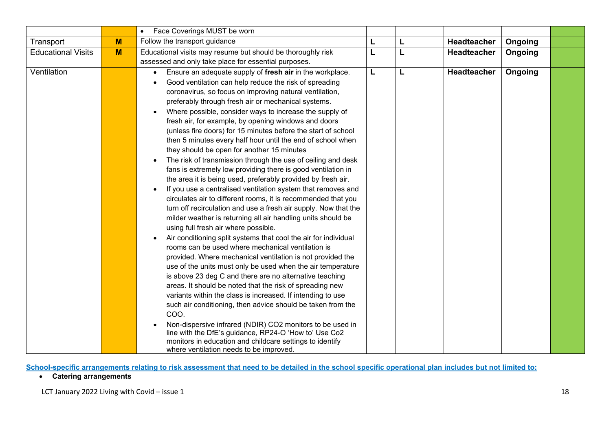|                           |   | Face Coverings MUST be worn<br>$\bullet$                                                                                                                                                                                                                                                                                                                                                                                                                                                                                                                                                                                                                                                                                                                                                                                                                                                                                                                                                                                                                                                                                                                                                                                                                                                                                                                                                                                                                                                                                                                                                                                                                                                                                                                                                                      |   |   |                    |         |  |
|---------------------------|---|---------------------------------------------------------------------------------------------------------------------------------------------------------------------------------------------------------------------------------------------------------------------------------------------------------------------------------------------------------------------------------------------------------------------------------------------------------------------------------------------------------------------------------------------------------------------------------------------------------------------------------------------------------------------------------------------------------------------------------------------------------------------------------------------------------------------------------------------------------------------------------------------------------------------------------------------------------------------------------------------------------------------------------------------------------------------------------------------------------------------------------------------------------------------------------------------------------------------------------------------------------------------------------------------------------------------------------------------------------------------------------------------------------------------------------------------------------------------------------------------------------------------------------------------------------------------------------------------------------------------------------------------------------------------------------------------------------------------------------------------------------------------------------------------------------------|---|---|--------------------|---------|--|
| Transport                 | M | Follow the transport guidance                                                                                                                                                                                                                                                                                                                                                                                                                                                                                                                                                                                                                                                                                                                                                                                                                                                                                                                                                                                                                                                                                                                                                                                                                                                                                                                                                                                                                                                                                                                                                                                                                                                                                                                                                                                 | L | L | Headteacher        | Ongoing |  |
| <b>Educational Visits</b> | M | Educational visits may resume but should be thoroughly risk                                                                                                                                                                                                                                                                                                                                                                                                                                                                                                                                                                                                                                                                                                                                                                                                                                                                                                                                                                                                                                                                                                                                                                                                                                                                                                                                                                                                                                                                                                                                                                                                                                                                                                                                                   | L | L | <b>Headteacher</b> | Ongoing |  |
|                           |   | assessed and only take place for essential purposes.                                                                                                                                                                                                                                                                                                                                                                                                                                                                                                                                                                                                                                                                                                                                                                                                                                                                                                                                                                                                                                                                                                                                                                                                                                                                                                                                                                                                                                                                                                                                                                                                                                                                                                                                                          |   |   |                    |         |  |
| Ventilation               |   | Ensure an adequate supply of fresh air in the workplace.<br>$\bullet$<br>Good ventilation can help reduce the risk of spreading<br>coronavirus, so focus on improving natural ventilation,<br>preferably through fresh air or mechanical systems.<br>Where possible, consider ways to increase the supply of<br>fresh air, for example, by opening windows and doors<br>(unless fire doors) for 15 minutes before the start of school<br>then 5 minutes every half hour until the end of school when<br>they should be open for another 15 minutes<br>The risk of transmission through the use of ceiling and desk<br>fans is extremely low providing there is good ventilation in<br>the area it is being used, preferably provided by fresh air.<br>If you use a centralised ventilation system that removes and<br>circulates air to different rooms, it is recommended that you<br>turn off recirculation and use a fresh air supply. Now that the<br>milder weather is returning all air handling units should be<br>using full fresh air where possible.<br>Air conditioning split systems that cool the air for individual<br>rooms can be used where mechanical ventilation is<br>provided. Where mechanical ventilation is not provided the<br>use of the units must only be used when the air temperature<br>is above 23 deg C and there are no alternative teaching<br>areas. It should be noted that the risk of spreading new<br>variants within the class is increased. If intending to use<br>such air conditioning, then advice should be taken from the<br>COO.<br>Non-dispersive infrared (NDIR) CO2 monitors to be used in<br>line with the DfE's guidance, RP24-O 'How to' Use Co2<br>monitors in education and childcare settings to identify<br>where ventilation needs to be improved. | L | L | Headteacher        | Ongoing |  |

**School-specific arrangements relating to risk assessment that need to be detailed in the school specific operational plan includes but not limited to:**

• **Catering arrangements**